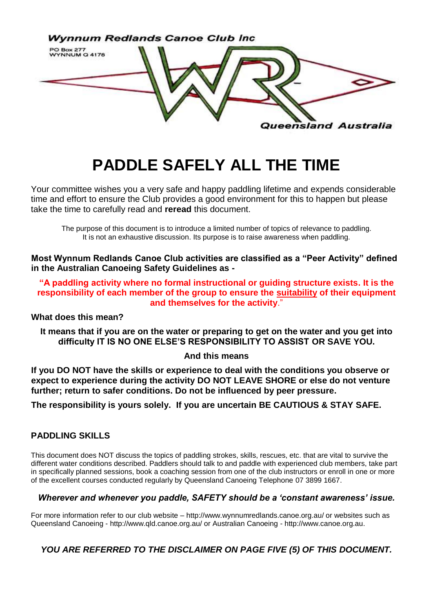

# **PADDLE SAFELY ALL THE TIME**

Your committee wishes you a very safe and happy paddling lifetime and expends considerable time and effort to ensure the Club provides a good environment for this to happen but please take the time to carefully read and **reread** this document.

The purpose of this document is to introduce a limited number of topics of relevance to paddling. It is not an exhaustive discussion. Its purpose is to raise awareness when paddling.

**Most Wynnum Redlands Canoe Club activities are classified as a "Peer Activity" defined in the Australian Canoeing Safety Guidelines as -**

**"A paddling activity where no formal instructional or guiding structure exists. It is the responsibility of each member of the group to ensure the suitability of their equipment and themselves for the activity**."

**What does this mean?**

**It means that if you are on the water or preparing to get on the water and you get into difficulty IT IS NO ONE ELSE'S RESPONSIBILITY TO ASSIST OR SAVE YOU.**

#### **And this means**

**If you DO NOT have the skills or experience to deal with the conditions you observe or expect to experience during the activity DO NOT LEAVE SHORE or else do not venture further; return to safer conditions. Do not be influenced by peer pressure.**

**The responsibility is yours solely. If you are uncertain BE CAUTIOUS & STAY SAFE.** 

### **PADDLING SKILLS**

This document does NOT discuss the topics of paddling strokes, skills, rescues, etc. that are vital to survive the different water conditions described. Paddlers should talk to and paddle with experienced club members, take part in specifically planned sessions, book a coaching session from one of the club instructors or enroll in one or more of the excellent courses conducted regularly by Queensland Canoeing Telephone 07 3899 1667.

#### *Wherever and whenever you paddle, SAFETY should be a 'constant awareness' issue.*

For more information refer to our club website – http:/[/www.wynnumredlands.canoe.org.au/](http://www.wynnumredlands.canoe.org.au/) or websites such as Queensland Canoeing - http://www.qld.canoe.org.au/ or Australian Canoeing - [http://www.canoe.org.au.](http://www.canoe.org.au/)

## *YOU ARE REFERRED TO THE DISCLAIMER ON PAGE FIVE (5) OF THIS DOCUMENT.*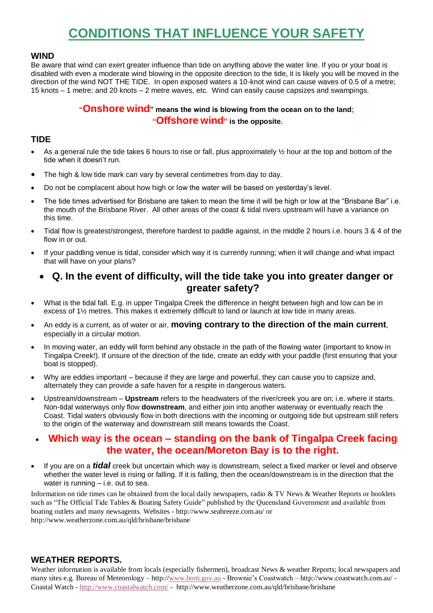## **CONDITIONS THAT INFLUENCE YOUR SAFETY**

### **WIND**

Be aware that wind can exert greater influence than tide on anything above the water line. If you or your boat is disabled with even a moderate wind blowing in the opposite direction to the tide, it is likely you will be moved in the direction of the wind NOT THE TIDE. In open exposed waters a 10-knot wind can cause waves of 0.5 of a metre; 15 knots – 1 metre; and 20 knots – 2 metre waves, etc. Wind can easily cause capsizes and swampings.

## **"Onshore wind" means the wind is blowing from the ocean on to the land; "Offshore wind" is the opposite.**

### **TIDE**

- As a general rule the tide takes 6 hours to rise or fall, plus approximately ½ hour at the top and bottom of the tide when it doesn't run.
- The high & low tide mark can vary by several centimetres from day to day.
- Do not be complacent about how high or low the water will be based on yesterday's level.
- The tide times advertised for Brisbane are taken to mean the time it will be high or low at the "Brisbane Bar" i.e. the mouth of the Brisbane River. All other areas of the coast & tidal rivers upstream will have a variance on this time.
- Tidal flow is greatest/strongest, therefore hardest to paddle against, in the middle 2 hours i.e. hours 3 & 4 of the flow in or out.
- If your paddling venue is tidal, consider which way it is currently running; when it will change and what impact that will have on your plans?

## **Q. In the event of difficulty, will the tide take you into greater danger or greater safety?**

- What is the tidal fall. E.g. in upper Tingalpa Creek the difference in height between high and low can be in excess of 1½ metres. This makes it extremely difficult to land or launch at low tide in many areas.
- An eddy is a current, as of water or air, **moving contrary to the direction of the main current**, especially in a circular motion.
- In moving water, an eddy will form behind any obstacle in the path of the flowing water (important to know in Tingalpa Creek!). If unsure of the direction of the tide, create an eddy with your paddle (first ensuring that your boat is stopped).
- Why are eddies important because if they are large and powerful, they can cause you to capsize and, alternately they can provide a safe haven for a respite in dangerous waters.
- Upstream/downstream **Upstream** refers to the headwaters of the river/creek you are on; i.e. where it starts. Non-tidal waterways only flow **downstream**, and either join into another waterway or eventually reach the Coast. Tidal waters obviously flow in both directions with the incoming or outgoing tide but upstream still refers to the origin of the waterway and downstream still means towards the Coast.

## **Which way is the ocean – standing on the bank of Tingalpa Creek facing the water, the ocean/Moreton Bay is to the right.**

 If you are on a *tidal* creek but uncertain which way is downstream, select a fixed marker or level and observe whether the water level is rising or falling. If it is falling, then the ocean/downstream is in the direction that the water is running – i.e. out to sea.

Information on tide times can be obtained from the local daily newspapers, radio & TV News & Weather Reports or booklets such as "The Official Tide Tables & Boating Safety Guide" published by the Queensland Government and available from boating outlets and many newsagents. Websites - http://www.seabreeze.com.au/ or http://www.weatherzone.com.au/qld/brisbane/brisbane

### **WEATHER REPORTS.**

Weather information is available from locals (especially fishermen), broadcast News & weather Reports; local newspapers and many sites e.g. Bureau of Meteorology – http:/[/www.bom.gov.au](http://www.bom.gov.au/) - Brownie's Coastwatch – http://www.coastwatch.com.au/ - Coastal Watch - <http://www.coastalwatch.com/> - http://www.weatherzone.com.au/qld/brisbane/brisbane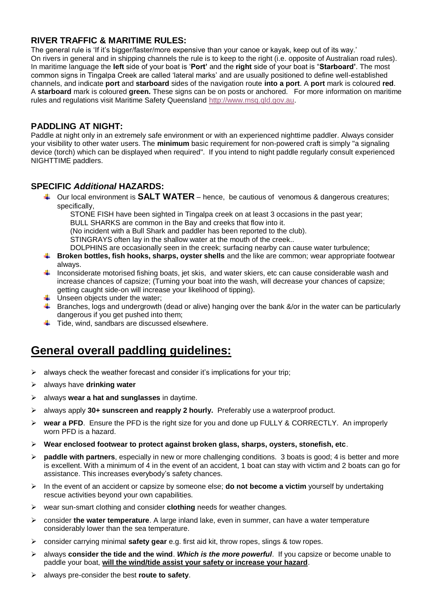## **RIVER TRAFFIC & MARITIME RULES:**

The general rule is 'If it's bigger/faster/more expensive than your canoe or kayak, keep out of its way.' On rivers in general and in shipping channels the rule is to keep to the right (i.e. opposite of Australian road rules). In maritime language the **left** side of your boat is '**Port'** and the **right** side of your boat is "**Starboard'**. The most common signs in Tingalpa Creek are called 'lateral marks' and are usually positioned to define well-established channels, and indicate **port** and **starboard** sides of the navigation route **into a port**. A **port** mark is coloured **red**. A **starboard** mark is coloured **green.** These signs can be on posts or anchored. For more information on maritime rules and regulations visit Maritime Safety Queensland [http://www.msq.qld.gov.au.](http://www.msq.qld.gov.au/)

### **PADDLING AT NIGHT:**

Paddle at night only in an extremely safe environment or with an experienced nighttime paddler. Always consider your visibility to other water users. The **minimum** basic requirement for non-powered craft is simply "a signaling device (torch) which can be displayed when required". If you intend to night paddle regularly consult experienced NIGHTTIME paddlers.

### **SPECIFIC** *Additional* **HAZARDS:**

Our local environment is **SALT WATER** – hence, be cautious of venomous & dangerous creatures; specifically,

STONE FISH have been sighted in Tingalpa creek on at least 3 occasions in the past year;

BULL SHARKS are common in the Bay and creeks that flow into it.

(No incident with a Bull Shark and paddler has been reported to the club).

STINGRAYS often lay in the shallow water at the mouth of the creek..

DOLPHINS are occasionally seen in the creek; surfacing nearby can cause water turbulence;

- **Broken bottles, fish hooks, sharps, oyster shells** and the like are common; wear appropriate footwear always.
- Inconsiderate motorised fishing boats, jet skis, and water skiers, etc can cause considerable wash and increase chances of capsize; (Turning your boat into the wash, will decrease your chances of capsize; getting caught side-on will increase your likelihood of tipping).
- $\overline{\phantom{a}}$  Unseen objects under the water;
- 4. Branches, logs and undergrowth (dead or alive) hanging over the bank &/or in the water can be particularly dangerous if you get pushed into them;
- $\overline{\phantom{a}}$  Tide, wind, sandbars are discussed elsewhere.

## **General overall paddling guidelines:**

- $\triangleright$  always check the weather forecast and consider it's implications for your trip;
- always have **drinking water**
- always **wear a hat and sunglasses** in daytime.
- always apply **30+ sunscreen and reapply 2 hourly.** Preferably use a waterproof product.
- **wear a PFD**. Ensure the PFD is the right size for you and done up FULLY & CORRECTLY. An improperly worn PFD is a hazard.
- **Wear enclosed footwear to protect against broken glass, sharps, oysters, stonefish, etc**.
- **paddle with partners**, especially in new or more challenging conditions. 3 boats is good; 4 is better and more is excellent. With a minimum of 4 in the event of an accident, 1 boat can stay with victim and 2 boats can go for assistance. This increases everybody's safety chances.
- In the event of an accident or capsize by someone else; **do not become a victim** yourself by undertaking rescue activities beyond your own capabilities.
- wear sun-smart clothing and consider **clothing** needs for weather changes.
- consider **the water temperature**. A large inland lake, even in summer, can have a water temperature considerably lower than the sea temperature.
- consider carrying minimal **safety gear** e.g. first aid kit, throw ropes, slings & tow ropes.
- always **consider the tide and the wind**. *Which is the more powerful*. If you capsize or become unable to paddle your boat, **will the wind/tide assist your safety or increase your hazard**.
- always pre-consider the best **route to safety**.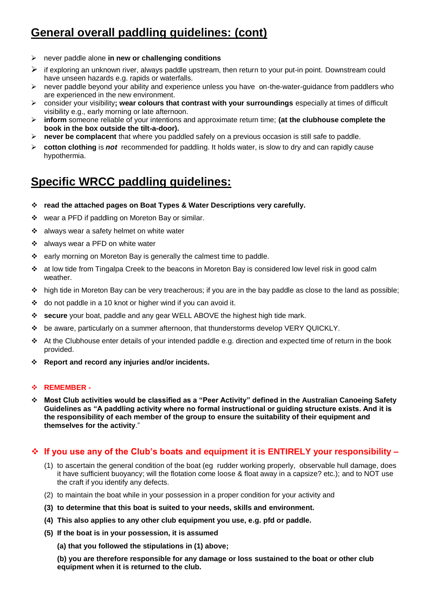## **General overall paddling guidelines: (cont)**

- never paddle alone **in new or challenging conditions**
- $\triangleright$  if exploring an unknown river, always paddle upstream, then return to your put-in point. Downstream could have unseen hazards e.g. rapids or waterfalls.
- $\triangleright$  never paddle beyond your ability and experience unless you have on-the-water-guidance from paddlers who are experienced in the new environment.
- consider your visibility**; wear colours that contrast with your surroundings** especially at times of difficult visibility e.g., early morning or late afternoon.
- **inform** someone reliable of your intentions and approximate return time; **(at the clubhouse complete the book in the box outside the tilt-a-door).**
- **never be complacent** that where you paddled safely on a previous occasion is still safe to paddle.
- **cotton clothing** is *not* recommended for paddling. It holds water, is slow to dry and can rapidly cause hypothermia.

## **Specific WRCC paddling guidelines:**

- **read the attached pages on Boat Types & Water Descriptions very carefully.**
- wear a PFD if paddling on Moreton Bay or similar.
- \* always wear a safety helmet on white water
- always wear a PFD on white water
- \* early morning on Moreton Bay is generally the calmest time to paddle.
- at low tide from Tingalpa Creek to the beacons in Moreton Bay is considered low level risk in good calm weather.
- $\div$  high tide in Moreton Bay can be very treacherous; if you are in the bay paddle as close to the land as possible;
- $\div$  do not paddle in a 10 knot or higher wind if you can avoid it.
- **secure** your boat, paddle and any gear WELL ABOVE the highest high tide mark.
- be aware, particularly on a summer afternoon, that thunderstorms develop VERY QUICKLY.
- $\div$  At the Clubhouse enter details of your intended paddle e.g. direction and expected time of return in the book provided.
- **Report and record any injuries and/or incidents.**

#### **REMEMBER -**

 **Most Club activities would be classified as a "Peer Activity" defined in the Australian Canoeing Safety Guidelines as "A paddling activity where no formal instructional or guiding structure exists. And it is the responsibility of each member of the group to ensure the suitability of their equipment and themselves for the activity**."

#### **If you use any of the Club's boats and equipment it is ENTIRELY your responsibility –**

- (1) to ascertain the general condition of the boat (eg rudder working properly, observable hull damage, does it have sufficient buoyancy; will the flotation come loose & float away in a capsize? etc.); and to NOT use the craft if you identify any defects.
- (2) to maintain the boat while in your possession in a proper condition for your activity and
- **(3) to determine that this boat is suited to your needs, skills and environment.**
- **(4) This also applies to any other club equipment you use, e.g. pfd or paddle.**
- **(5) If the boat is in your possession, it is assumed**

**(a) that you followed the stipulations in (1) above;**

**(b) you are therefore responsible for any damage or loss sustained to the boat or other club equipment when it is returned to the club.**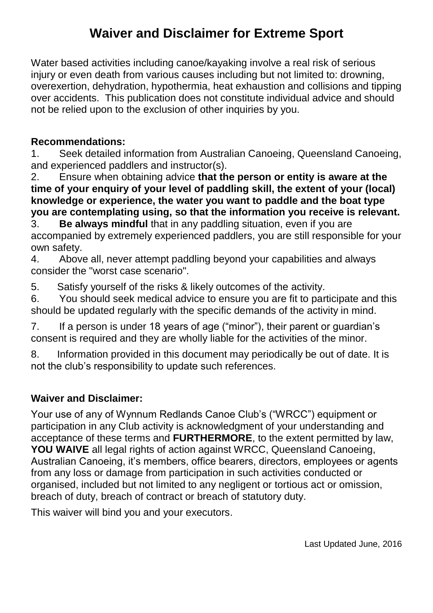## **Waiver and Disclaimer for Extreme Sport**

Water based activities including canoe/kayaking involve a real risk of serious injury or even death from various causes including but not limited to: drowning, overexertion, dehydration, hypothermia, heat exhaustion and collisions and tipping over accidents. This publication does not constitute individual advice and should not be relied upon to the exclusion of other inquiries by you.

## **Recommendations:**

1. Seek detailed information from Australian Canoeing, Queensland Canoeing, and experienced paddlers and instructor(s).

2. Ensure when obtaining advice **that the person or entity is aware at the time of your enquiry of your level of paddling skill, the extent of your (local) knowledge or experience, the water you want to paddle and the boat type you are contemplating using, so that the information you receive is relevant.**

3. **Be always mindful** that in any paddling situation, even if you are accompanied by extremely experienced paddlers, you are still responsible for your own safety.

4. Above all, never attempt paddling beyond your capabilities and always consider the "worst case scenario".

5. Satisfy yourself of the risks & likely outcomes of the activity.

6. You should seek medical advice to ensure you are fit to participate and this should be updated regularly with the specific demands of the activity in mind.

7. If a person is under 18 years of age ("minor"), their parent or guardian's consent is required and they are wholly liable for the activities of the minor.

8. Information provided in this document may periodically be out of date. It is not the club's responsibility to update such references.

## **Waiver and Disclaimer:**

Your use of any of Wynnum Redlands Canoe Club's ("WRCC") equipment or participation in any Club activity is acknowledgment of your understanding and acceptance of these terms and **FURTHERMORE**, to the extent permitted by law, **YOU WAIVE** all legal rights of action against WRCC, Queensland Canoeing, Australian Canoeing, it's members, office bearers, directors, employees or agents from any loss or damage from participation in such activities conducted or organised, included but not limited to any negligent or tortious act or omission, breach of duty, breach of contract or breach of statutory duty.

This waiver will bind you and your executors.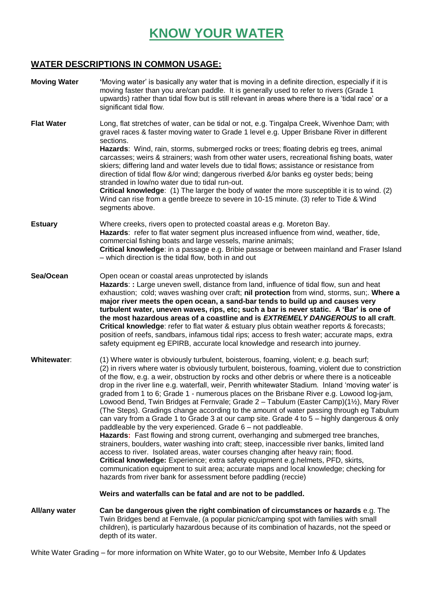# **KNOW YOUR WATER**

## **WATER DESCRIPTIONS IN COMMON USAGE:**

| <b>Moving Water</b>  | 'Moving water' is basically any water that is moving in a definite direction, especially if it is<br>moving faster than you are/can paddle. It is generally used to refer to rivers (Grade 1<br>upwards) rather than tidal flow but is still relevant in areas where there is a 'tidal race' or a<br>significant tidal flow.                                                                                                                                                                                                                                                                                                                                                                                                                                                                                                                                                                                                                                                                                                                                                                                                                                                                                                                                                                                                                                                    |
|----------------------|---------------------------------------------------------------------------------------------------------------------------------------------------------------------------------------------------------------------------------------------------------------------------------------------------------------------------------------------------------------------------------------------------------------------------------------------------------------------------------------------------------------------------------------------------------------------------------------------------------------------------------------------------------------------------------------------------------------------------------------------------------------------------------------------------------------------------------------------------------------------------------------------------------------------------------------------------------------------------------------------------------------------------------------------------------------------------------------------------------------------------------------------------------------------------------------------------------------------------------------------------------------------------------------------------------------------------------------------------------------------------------|
| <b>Flat Water</b>    | Long, flat stretches of water, can be tidal or not, e.g. Tingalpa Creek, Wivenhoe Dam; with<br>gravel races & faster moving water to Grade 1 level e.g. Upper Brisbane River in different<br>sections.<br>Hazards: Wind, rain, storms, submerged rocks or trees; floating debris eg trees, animal<br>carcasses; weirs & strainers; wash from other water users, recreational fishing boats, water<br>skiers; differing land and water levels due to tidal flows; assistance or resistance from<br>direction of tidal flow &/or wind; dangerous riverbed &/or banks eg oyster beds; being<br>stranded in low/no water due to tidal run-out.<br>Critical knowledge: (1) The larger the body of water the more susceptible it is to wind. (2)<br>Wind can rise from a gentle breeze to severe in 10-15 minute. (3) refer to Tide & Wind<br>segments above.                                                                                                                                                                                                                                                                                                                                                                                                                                                                                                                         |
| <b>Estuary</b>       | Where creeks, rivers open to protected coastal areas e.g. Moreton Bay.<br>Hazards: refer to flat water segment plus increased influence from wind, weather, tide,<br>commercial fishing boats and large vessels, marine animals;<br>Critical knowledge: in a passage e.g. Bribie passage or between mainland and Fraser Island<br>- which direction is the tidal flow, both in and out                                                                                                                                                                                                                                                                                                                                                                                                                                                                                                                                                                                                                                                                                                                                                                                                                                                                                                                                                                                          |
| Sea/Ocean            | Open ocean or coastal areas unprotected by islands<br>Hazards: : Large uneven swell, distance from land, influence of tidal flow, sun and heat<br>exhaustion; cold; waves washing over craft; nil protection from wind, storms, sun;. Where a<br>major river meets the open ocean, a sand-bar tends to build up and causes very<br>turbulent water, uneven waves, rips, etc; such a bar is never static. A 'Bar' is one of<br>the most hazardous areas of a coastline and is EXTREMELY DANGEROUS to all craft.<br>Critical knowledge: refer to flat water & estuary plus obtain weather reports & forecasts;<br>position of reefs, sandbars, infamous tidal rips; access to fresh water; accurate maps, extra<br>safety equipment eg EPIRB, accurate local knowledge and research into journey.                                                                                                                                                                                                                                                                                                                                                                                                                                                                                                                                                                                 |
| Whitewater:          | (1) Where water is obviously turbulent, boisterous, foaming, violent; e.g. beach surf;<br>(2) in rivers where water is obviously turbulent, boisterous, foaming, violent due to constriction<br>of the flow, e.g. a weir, obstruction by rocks and other debris or where there is a noticeable<br>drop in the river line e.g. waterfall, weir, Penrith whitewater Stadium. Inland 'moving water' is<br>graded from 1 to 6; Grade 1 - numerous places on the Brisbane River e.g. Lowood log-jam,<br>Lowood Bend, Twin Bridges at Fernvale; Grade 2 - Tabulum (Easter Camp)(1½), Mary River<br>(The Steps). Gradings change according to the amount of water passing through eg Tabulum<br>can vary from a Grade 1 to Grade 3 at our camp site. Grade 4 to 5 - highly dangerous & only<br>paddleable by the very experienced. Grade 6 - not paddleable.<br>Hazards: Fast flowing and strong current, overhanging and submerged tree branches,<br>strainers, boulders, water washing into craft; steep, inaccessible river banks, limited land<br>access to river. Isolated areas, water courses changing after heavy rain; flood.<br>Critical knowledge: Experience; extra safety equipment e.g.helmets, PFD, skirts,<br>communication equipment to suit area; accurate maps and local knowledge; checking for<br>hazards from river bank for assessment before paddling (reccie) |
|                      | Weirs and waterfalls can be fatal and are not to be paddled.                                                                                                                                                                                                                                                                                                                                                                                                                                                                                                                                                                                                                                                                                                                                                                                                                                                                                                                                                                                                                                                                                                                                                                                                                                                                                                                    |
| <b>All/any water</b> | Can be dangerous given the right combination of circumstances or hazards e.g. The<br>Twin Bridges bend at Fernvale, (a popular picnic/camping spot with families with small<br>children), is particularly hazardous because of its combination of hazards, not the speed or<br>depth of its water.                                                                                                                                                                                                                                                                                                                                                                                                                                                                                                                                                                                                                                                                                                                                                                                                                                                                                                                                                                                                                                                                              |

White Water Grading – for more information on White Water, go to our Website, Member Info & Updates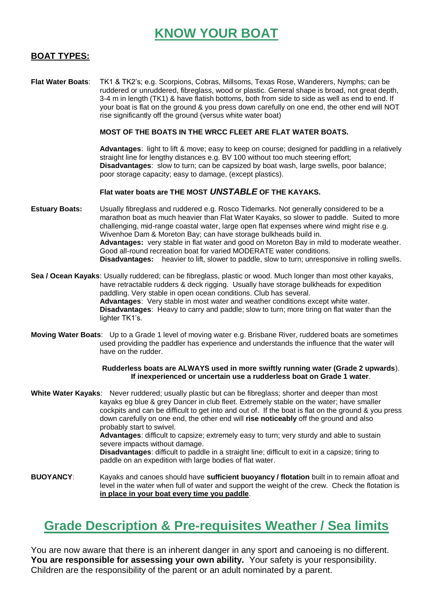## **KNOW YOUR BOAT**

### **BOAT TYPES:**

**Flat Water Boats**: TK1 & TK2's; e.g. Scorpions, Cobras, Millsoms, Texas Rose, Wanderers, Nymphs; can be ruddered or unruddered, fibreglass, wood or plastic. General shape is broad, not great depth, 3-4 m in length (TK1) & have flatish bottoms, both from side to side as well as end to end. If your boat is flat on the ground & you press down carefully on one end, the other end will NOT rise significantly off the ground (versus white water boat)

#### **MOST OF THE BOATS IN THE WRCC FLEET ARE FLAT WATER BOATS.**

**Advantages**: light to lift & move; easy to keep on course; designed for paddling in a relatively straight line for lengthy distances e.g. BV 100 without too much steering effort; **Disadvantages**: slow to turn; can be capsized by boat wash, large swells, poor balance; poor storage capacity; easy to damage, (except plastics).

#### **Flat water boats are THE MOST** *UNSTABLE* **OF THE KAYAKS.**

- **Estuary Boats:** Usually fibreglass and ruddered e.g. Rosco Tidemarks. Not generally considered to be a marathon boat as much heavier than Flat Water Kayaks, so slower to paddle. Suited to more challenging, mid-range coastal water, large open flat expenses where wind might rise e.g. Wivenhoe Dam & Moreton Bay; can have storage bulkheads build in. **Advantages:** very stable in flat water and good on Moreton Bay in mild to moderate weather. Good all-round recreation boat for varied MODERATE water conditions. **Disadvantages:** heavier to lift, slower to paddle, slow to turn; unresponsive in rolling swells.
- **Sea / Ocean Kayaks**: Usually ruddered; can be fibreglass, plastic or wood. Much longer than most other kayaks, have retractable rudders & deck rigging. Usually have storage bulkheads for expedition paddling. Very stable in open ocean conditions. Club has several. **Advantages**: Very stable in most water and weather conditions except white water. **Disadvantages**: Heavy to carry and paddle; slow to turn; more tiring on flat water than the lighter TK1's.
- **Moving Water Boats**: Up to a Grade 1 level of moving water e.g. Brisbane River, ruddered boats are sometimes used providing the paddler has experience and understands the influence that the water will have on the rudder.

#### **Rudderless boats are ALWAYS used in more swiftly running water (Grade 2 upwards**). **If inexperienced or uncertain use a rudderless boat on Grade 1 water**.

**White Water Kayaks**: Never ruddered; usually plastic but can be fibreglass; shorter and deeper than most kayaks eg blue & grey Dancer in club fleet. Extremely stable on the water; have smaller cockpits and can be difficult to get into and out of. If the boat is flat on the ground & you press down carefully on one end, the other end will **rise noticeably** off the ground and also probably start to swivel. **Advantages**: difficult to capsize; extremely easy to turn; very sturdy and able to sustain

severe impacts without damage.

**Disadvantages**: difficult to paddle in a straight line; difficult to exit in a capsize; tiring to paddle on an expedition with large bodies of flat water.

**BUOYANCY**: Kayaks and canoes should have **sufficient buoyancy / flotation** built in to remain afloat and level in the water when full of water and support the weight of the crew. Check the flotation is **in place in your boat every time you paddle**.

## **Grade Description & Pre-requisites Weather / Sea limits**

You are now aware that there is an inherent danger in any sport and canoeing is no different. **You are responsible for assessing your own ability.** Your safety is your responsibility. Children are the responsibility of the parent or an adult nominated by a parent.